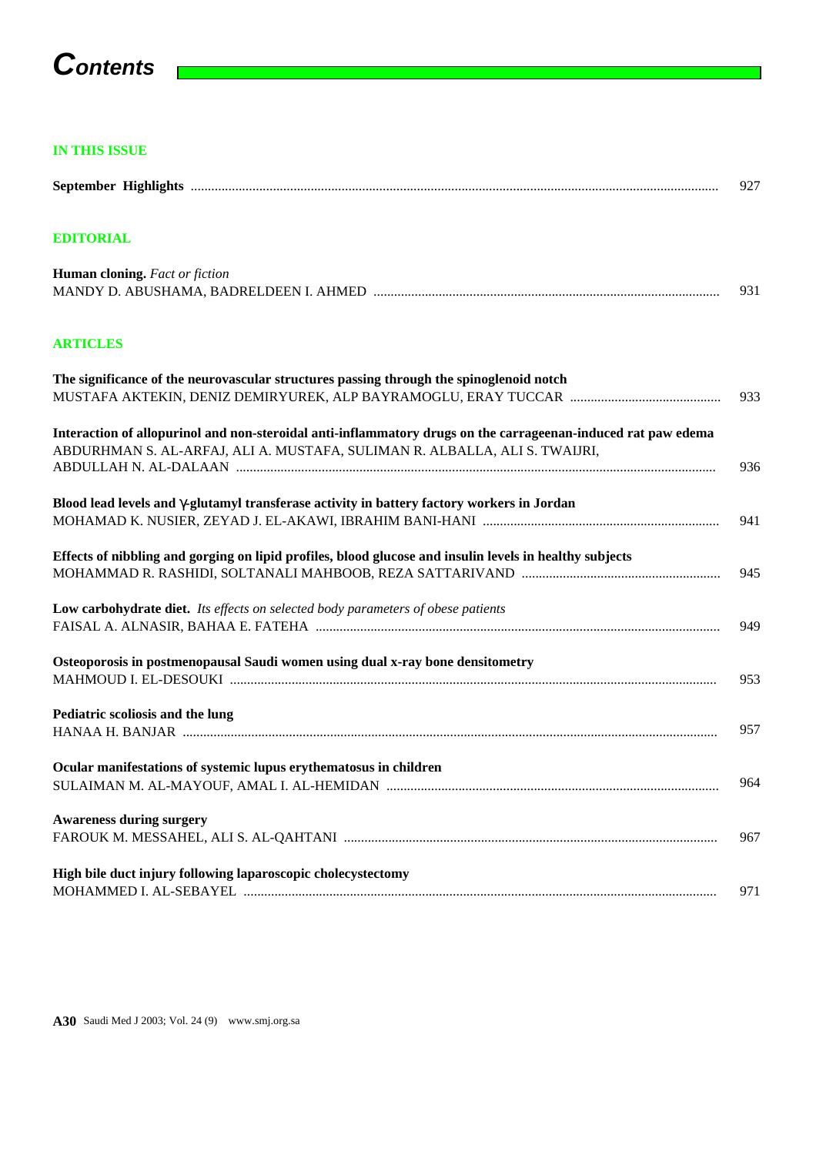# **Contents**

 $\mathcal{L}$ 

## **IN THIS ISSUE**

|                                                                                                                                                                                             | 927 |
|---------------------------------------------------------------------------------------------------------------------------------------------------------------------------------------------|-----|
| <b>EDITORIAL</b>                                                                                                                                                                            |     |
| Human cloning. Fact or fiction                                                                                                                                                              | 931 |
| <b>ARTICLES</b>                                                                                                                                                                             |     |
| The significance of the neurovascular structures passing through the spinoglenoid notch                                                                                                     | 933 |
| Interaction of allopurinol and non-steroidal anti-inflammatory drugs on the carrageenan-induced rat paw edema<br>ABDURHMAN S. AL-ARFAJ, ALI A. MUSTAFA, SULIMAN R. ALBALLA, ALI S. TWAIJRI, | 936 |
| Blood lead levels and -glutamyl transferase activity in battery factory workers in Jordan                                                                                                   | 941 |
| Effects of nibbling and gorging on lipid profiles, blood glucose and insulin levels in healthy subjects                                                                                     | 945 |
| Low carbohydrate diet. Its effects on selected body parameters of obese patients                                                                                                            | 949 |
| Osteoporosis in postmenopausal Saudi women using dual x-ray bone densitometry                                                                                                               | 953 |
| Pediatric scoliosis and the lung                                                                                                                                                            | 957 |
| Ocular manifestations of systemic lupus erythematosus in children                                                                                                                           | 964 |
| <b>Awareness during surgery</b>                                                                                                                                                             | 967 |
| High bile duct injury following laparoscopic cholecystectomy                                                                                                                                | 971 |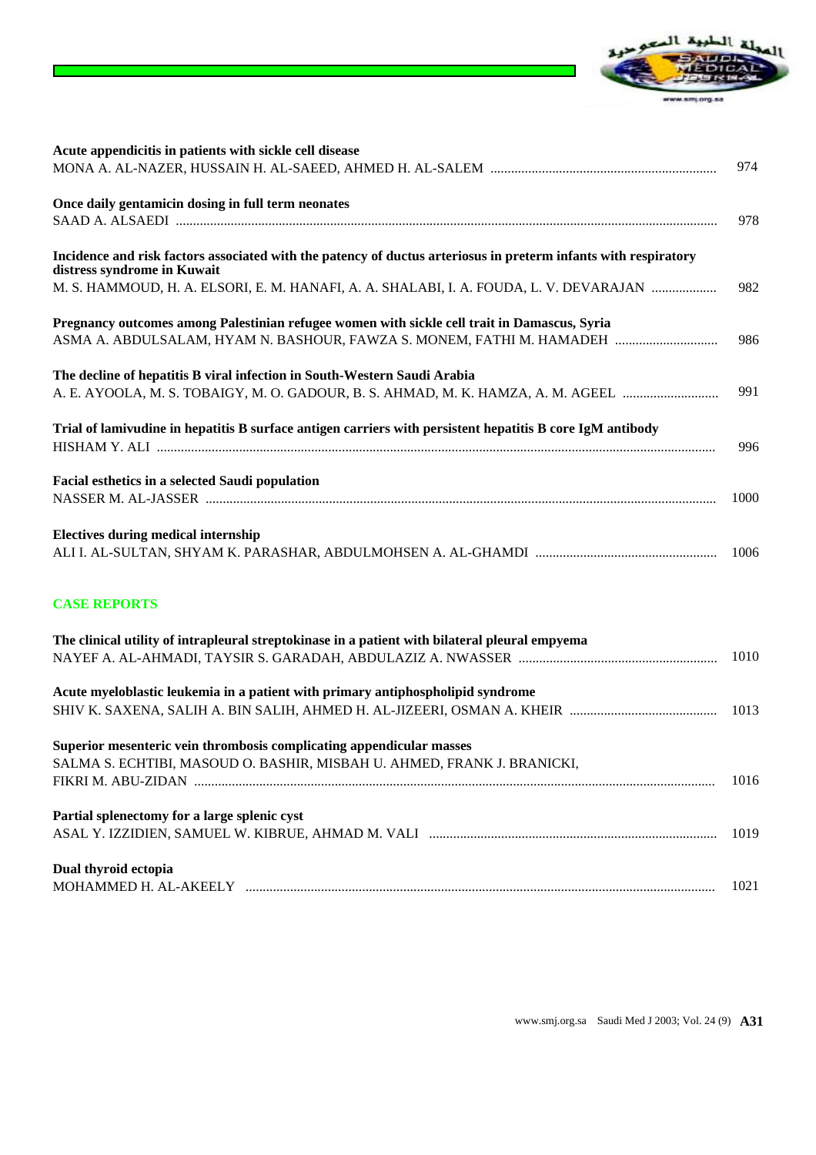

| Acute appendicitis in patients with sickle cell disease                                                                                                               |      |
|-----------------------------------------------------------------------------------------------------------------------------------------------------------------------|------|
|                                                                                                                                                                       | 974  |
| Once daily gentamicin dosing in full term neonates                                                                                                                    | 978  |
| Incidence and risk factors associated with the patency of ductus arteriosus in preterm infants with respiratory<br>distress syndrome in Kuwait                        |      |
| M. S. HAMMOUD, H. A. ELSORI, E. M. HANAFI, A. A. SHALABI, I. A. FOUDA, L. V. DEVARAJAN                                                                                | 982  |
| Pregnancy outcomes among Palestinian refugee women with sickle cell trait in Damascus, Syria<br>ASMA A. ABDULSALAM, HYAM N. BASHOUR, FAWZA S. MONEM, FATHI M. HAMADEH | 986  |
|                                                                                                                                                                       |      |
| The decline of hepatitis B viral infection in South-Western Saudi Arabia                                                                                              | 991  |
| A. E. AYOOLA, M. S. TOBAIGY, M. O. GADOUR, B. S. AHMAD, M. K. HAMZA, A. M. AGEEL                                                                                      |      |
| Trial of lamivudine in hepatitis B surface antigen carriers with persistent hepatitis B core IgM antibody                                                             | 996  |
| Facial esthetics in a selected Saudi population                                                                                                                       |      |
|                                                                                                                                                                       | 1000 |
| <b>Electives during medical internship</b>                                                                                                                            | 1006 |
| <b>CASE REPORTS</b>                                                                                                                                                   |      |
| The clinical utility of intrapleural streptokinase in a patient with bilateral pleural empyema                                                                        |      |
|                                                                                                                                                                       | 1010 |
| Acute myeloblastic leukemia in a patient with primary antiphospholipid syndrome                                                                                       |      |
|                                                                                                                                                                       | 1013 |
| Superior mesenteric vein thrombosis complicating appendicular masses                                                                                                  |      |
| SALMA S. ECHTIBI, MASOUD O. BASHIR, MISBAH U. AHMED, FRANK J. BRANICKI,                                                                                               | 1016 |
| Partial splenectomy for a large splenic cyst                                                                                                                          |      |
|                                                                                                                                                                       | 1019 |
| Dual thyroid ectopia                                                                                                                                                  |      |
|                                                                                                                                                                       | 1021 |